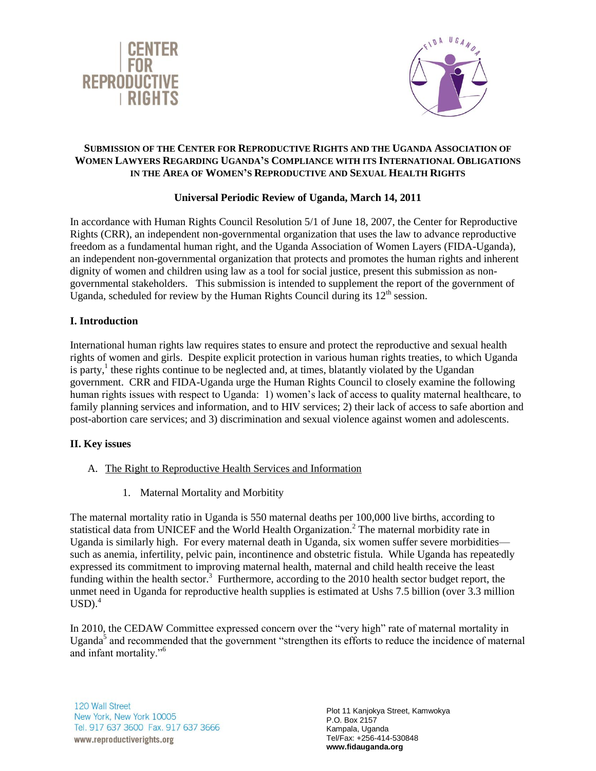



## **SUBMISSION OF THE CENTER FOR REPRODUCTIVE RIGHTS AND THE UGANDA ASSOCIATION OF WOMEN LAWYERS REGARDING UGANDA'S COMPLIANCE WITH ITS INTERNATIONAL OBLIGATIONS IN THE AREA OF WOMEN'S REPRODUCTIVE AND SEXUAL HEALTH RIGHTS**

# **Universal Periodic Review of Uganda, March 14, 2011**

In accordance with Human Rights Council Resolution 5/1 of June 18, 2007, the Center for Reproductive Rights (CRR), an independent non-governmental organization that uses the law to advance reproductive freedom as a fundamental human right, and the Uganda Association of Women Layers (FIDA-Uganda), an independent non-governmental organization that protects and promotes the human rights and inherent dignity of women and children using law as a tool for social justice, present this submission as nongovernmental stakeholders. This submission is intended to supplement the report of the government of Uganda, scheduled for review by the Human Rights Council during its  $12<sup>th</sup>$  session.

## **I. Introduction**

International human rights law requires states to ensure and protect the reproductive and sexual health rights of women and girls. Despite explicit protection in various human rights treaties, to which Uganda is party,<sup>1</sup> these rights continue to be neglected and, at times, blatantly violated by the Ugandan government. CRR and FIDA-Uganda urge the Human Rights Council to closely examine the following human rights issues with respect to Uganda: 1) women's lack of access to quality maternal healthcare, to family planning services and information, and to HIV services; 2) their lack of access to safe abortion and post-abortion care services; and 3) discrimination and sexual violence against women and adolescents.

### **II. Key issues**

- A. The Right to Reproductive Health Services and Information
	- 1. Maternal Mortality and Morbitity

The maternal mortality ratio in Uganda is 550 maternal deaths per 100,000 live births, according to statistical data from UNICEF and the World Health Organization.<sup>2</sup> The maternal morbidity rate in Uganda is similarly high. For every maternal death in Uganda, six women suffer severe morbidities such as anemia, infertility, pelvic pain, incontinence and obstetric fistula. While Uganda has repeatedly expressed its commitment to improving maternal health, maternal and child health receive the least funding within the health sector.<sup>3</sup> Furthermore, according to the 2010 health sector budget report, the unmet need in Uganda for reproductive health supplies is estimated at Ushs 7.5 billion (over 3.3 million  $USD.^4$ 

In 2010, the CEDAW Committee expressed concern over the "very high" rate of maternal mortality in Uganda<sup>5</sup> and recommended that the government "strengthen its efforts to reduce the incidence of maternal and infant mortality."<sup>6</sup>

120 Wall Street New York, New York 10005 Tel. 917 637 3600 Fax. 917 637 3666

Plot 11 Kanjokya Street, Kamwokya P.O. Box 2157 Kampala, Uganda Tel/Fax: +256-414-530848 **www.fidauganda.org**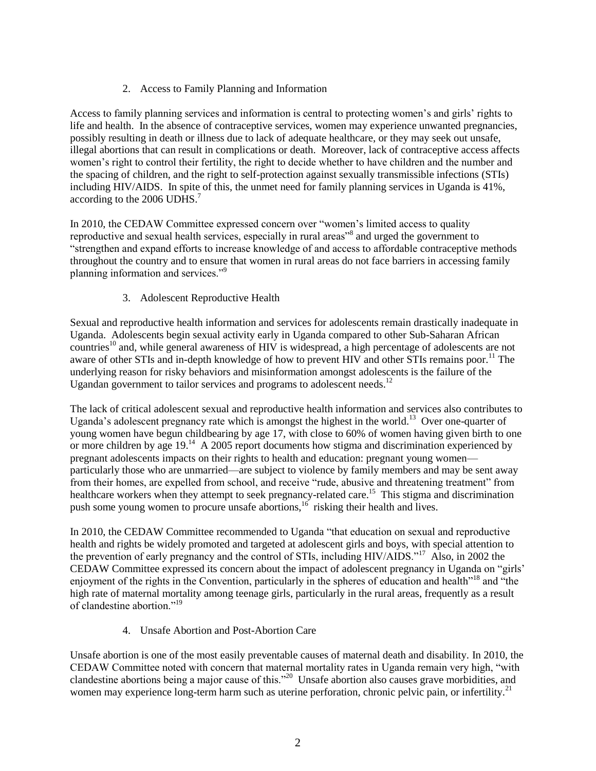# 2. Access to Family Planning and Information

Access to family planning services and information is central to protecting women"s and girls" rights to life and health. In the absence of contraceptive services, women may experience unwanted pregnancies, possibly resulting in death or illness due to lack of adequate healthcare, or they may seek out unsafe, illegal abortions that can result in complications or death. Moreover, lack of contraceptive access affects women"s right to control their fertility, the right to decide whether to have children and the number and the spacing of children, and the right to self-protection against sexually transmissible infections (STIs) including HIV/AIDS. In spite of this, the unmet need for family planning services in Uganda is 41%, according to the 2006 UDHS.<sup>7</sup>

In 2010, the CEDAW Committee expressed concern over "women"s limited access to quality reproductive and sexual health services, especially in rural areas<sup>38</sup> and urged the government to "strengthen and expand efforts to increase knowledge of and access to affordable contraceptive methods throughout the country and to ensure that women in rural areas do not face barriers in accessing family planning information and services."<sup>9</sup>

# 3. Adolescent Reproductive Health

Sexual and reproductive health information and services for adolescents remain drastically inadequate in Uganda. Adolescents begin sexual activity early in Uganda compared to other Sub-Saharan African countries<sup>10</sup> and, while general awareness of HIV is widespread, a high percentage of adolescents are not aware of other STIs and in-depth knowledge of how to prevent HIV and other STIs remains poor.<sup>11</sup> The underlying reason for risky behaviors and misinformation amongst adolescents is the failure of the Ugandan government to tailor services and programs to adolescent needs.<sup>12</sup>

The lack of critical adolescent sexual and reproductive health information and services also contributes to Uganda's adolescent pregnancy rate which is amongst the highest in the world.<sup>13</sup> Over one-quarter of young women have begun childbearing by age 17, with close to 60% of women having given birth to one or more children by age  $19<sup>14</sup>$  A 2005 report documents how stigma and discrimination experienced by pregnant adolescents impacts on their rights to health and education: pregnant young women particularly those who are unmarried—are subject to violence by family members and may be sent away from their homes, are expelled from school, and receive "rude, abusive and threatening treatment" from healthcare workers when they attempt to seek pregnancy-related care.<sup>15</sup> This stigma and discrimination push some young women to procure unsafe abortions,<sup>16</sup> risking their health and lives.

In 2010, the CEDAW Committee recommended to Uganda "that education on sexual and reproductive health and rights be widely promoted and targeted at adolescent girls and boys, with special attention to the prevention of early pregnancy and the control of STIs, including HIV/AIDS."<sup>17</sup> Also, in 2002 the CEDAW Committee expressed its concern about the impact of adolescent pregnancy in Uganda on "girls" enjoyment of the rights in the Convention, particularly in the spheres of education and health<sup>"18</sup> and "the high rate of maternal mortality among teenage girls, particularly in the rural areas, frequently as a result of clandestine abortion."<sup>19</sup>

4. Unsafe Abortion and Post-Abortion Care

Unsafe abortion is one of the most easily preventable causes of maternal death and disability. In 2010, the CEDAW Committee noted with concern that maternal mortality rates in Uganda remain very high, "with clandestine abortions being a major cause of this."<sup>20</sup> Unsafe abortion also causes grave morbidities, and women may experience long-term harm such as uterine perforation, chronic pelvic pain, or infertility.<sup>21</sup>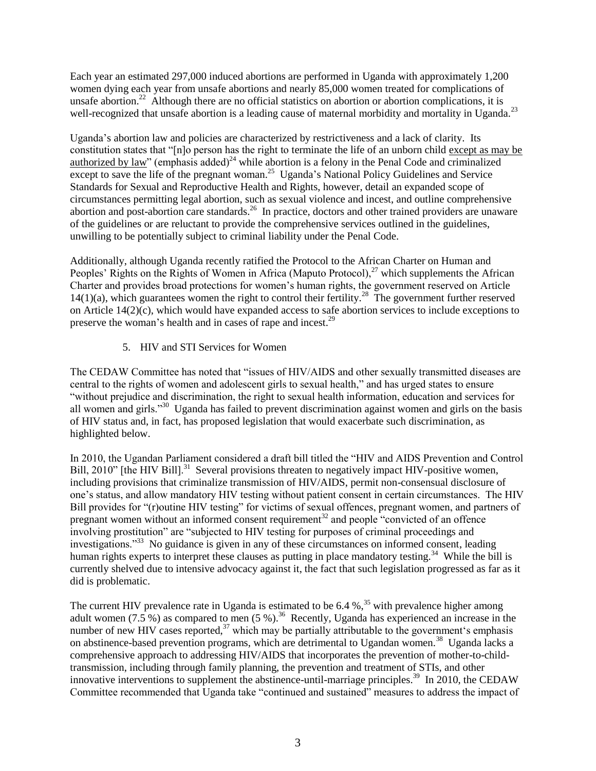Each year an estimated 297,000 induced abortions are performed in Uganda with approximately 1,200 women dying each year from unsafe abortions and nearly 85,000 women treated for complications of unsafe abortion.<sup>22</sup> Although there are no official statistics on abortion or abortion complications, it is well-recognized that unsafe abortion is a leading cause of maternal morbidity and mortality in Uganda.<sup>23</sup>

Uganda"s abortion law and policies are characterized by restrictiveness and a lack of clarity. Its constitution states that "[n]o person has the right to terminate the life of an unborn child except as may be authorized by law" (emphasis added)<sup>24</sup> while abortion is a felony in the Penal Code and criminalized except to save the life of the pregnant woman.<sup>25</sup> Uganda's National Policy Guidelines and Service Standards for Sexual and Reproductive Health and Rights, however, detail an expanded scope of circumstances permitting legal abortion, such as sexual violence and incest, and outline comprehensive abortion and post-abortion care standards.<sup>26</sup> In practice, doctors and other trained providers are unaware of the guidelines or are reluctant to provide the comprehensive services outlined in the guidelines, unwilling to be potentially subject to criminal liability under the Penal Code.

Additionally, although Uganda recently ratified the Protocol to the African Charter on Human and Peoples' Rights on the Rights of Women in Africa (Maputo Protocol), $^{27}$  which supplements the African Charter and provides broad protections for women"s human rights, the government reserved on Article  $14(1)(a)$ , which guarantees women the right to control their fertility.<sup>28</sup> The government further reserved on Article 14(2)(c), which would have expanded access to safe abortion services to include exceptions to preserve the woman's health and in cases of rape and incest.<sup>29</sup>

## 5. HIV and STI Services for Women

The CEDAW Committee has noted that "issues of HIV/AIDS and other sexually transmitted diseases are central to the rights of women and adolescent girls to sexual health," and has urged states to ensure "without prejudice and discrimination, the right to sexual health information, education and services for all women and girls."<sup>30</sup> Uganda has failed to prevent discrimination against women and girls on the basis of HIV status and, in fact, has proposed legislation that would exacerbate such discrimination, as highlighted below.

In 2010, the Ugandan Parliament considered a draft bill titled the "HIV and AIDS Prevention and Control Bill, 2010" [the HIV Bill].<sup>31</sup> Several provisions threaten to negatively impact HIV-positive women, including provisions that criminalize transmission of HIV/AIDS, permit non-consensual disclosure of one"s status, and allow mandatory HIV testing without patient consent in certain circumstances. The HIV Bill provides for "(r)outine HIV testing" for victims of sexual offences, pregnant women, and partners of pregnant women without an informed consent requirement<sup>32</sup> and people "convicted of an offence involving prostitution" are "subjected to HIV testing for purposes of criminal proceedings and investigations."<sup>33</sup> No guidance is given in any of these circumstances on informed consent, leading human rights experts to interpret these clauses as putting in place mandatory testing.<sup>34</sup> While the bill is currently shelved due to intensive advocacy against it, the fact that such legislation progressed as far as it did is problematic.

The current HIV prevalence rate in Uganda is estimated to be  $6.4 \%$ ,<sup>35</sup> with prevalence higher among adult women (7.5 %) as compared to men (5 %).<sup>36</sup> Recently, Uganda has experienced an increase in the number of new HIV cases reported, $37$  which may be partially attributable to the government's emphasis on abstinence-based prevention programs, which are detrimental to Ugandan women.<sup>38</sup> Uganda lacks a comprehensive approach to addressing HIV/AIDS that incorporates the prevention of mother-to-childtransmission, including through family planning, the prevention and treatment of STIs, and other innovative interventions to supplement the abstinence-until-marriage principles.<sup>39</sup> In 2010, the CEDAW Committee recommended that Uganda take "continued and sustained" measures to address the impact of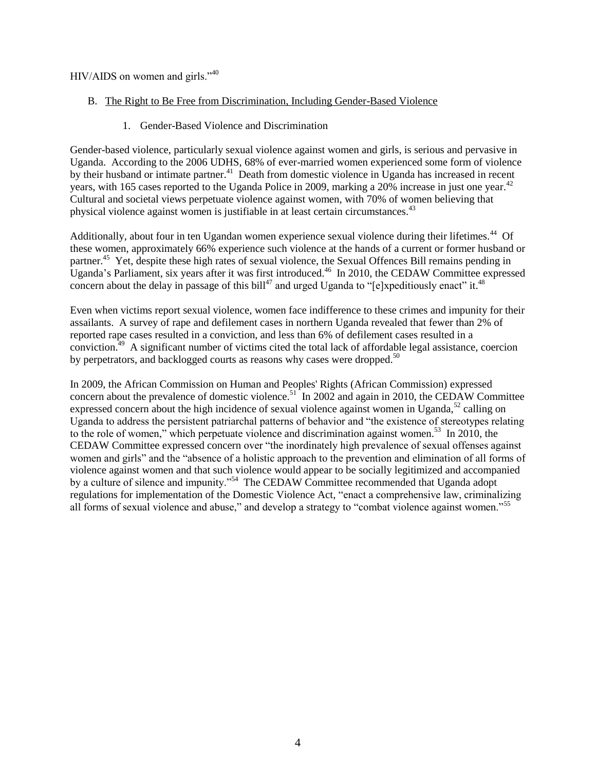HIV/AIDS on women and girls."<sup>40</sup>

- B. The Right to Be Free from Discrimination, Including Gender-Based Violence
	- 1. Gender-Based Violence and Discrimination

Gender-based violence, particularly sexual violence against women and girls, is serious and pervasive in Uganda. According to the 2006 UDHS, 68% of ever-married women experienced some form of violence by their husband or intimate partner.<sup>41</sup> Death from domestic violence in Uganda has increased in recent years, with 165 cases reported to the Uganda Police in 2009, marking a 20% increase in just one year.<sup>42</sup> Cultural and societal views perpetuate violence against women, with 70% of women believing that physical violence against women is justifiable in at least certain circumstances.<sup>43</sup>

Additionally, about four in ten Ugandan women experience sexual violence during their lifetimes.<sup>44</sup> Of these women, approximately 66% experience such violence at the hands of a current or former husband or partner.<sup>45</sup> Yet, despite these high rates of sexual violence, the Sexual Offences Bill remains pending in Uganda's Parliament, six years after it was first introduced.<sup>46</sup> In 2010, the CEDAW Committee expressed concern about the delay in passage of this bill<sup>47</sup> and urged Uganda to "[e]xpeditiously enact" it.<sup>48</sup>

Even when victims report sexual violence, women face indifference to these crimes and impunity for their assailants. A survey of rape and defilement cases in northern Uganda revealed that fewer than 2% of reported rape cases resulted in a conviction, and less than 6% of defilement cases resulted in a conviction.<sup>49</sup> A significant number of victims cited the total lack of affordable legal assistance, coercion by perpetrators, and backlogged courts as reasons why cases were dropped.<sup>50</sup>

In 2009, the African Commission on Human and Peoples' Rights (African Commission) expressed concern about the prevalence of domestic violence.<sup>51</sup> In 2002 and again in 2010, the CEDAW Committee expressed concern about the high incidence of sexual violence against women in Uganda,<sup>52</sup> calling on Uganda to address the persistent patriarchal patterns of behavior and "the existence of stereotypes relating to the role of women," which perpetuate violence and discrimination against women.<sup>53</sup> In 2010, the CEDAW Committee expressed concern over "the inordinately high prevalence of sexual offenses against women and girls" and the "absence of a holistic approach to the prevention and elimination of all forms of violence against women and that such violence would appear to be socially legitimized and accompanied by a culture of silence and impunity."<sup>54</sup> The CEDAW Committee recommended that Uganda adopt regulations for implementation of the Domestic Violence Act, "enact a comprehensive law, criminalizing all forms of sexual violence and abuse," and develop a strategy to "combat violence against women."<sup>55</sup>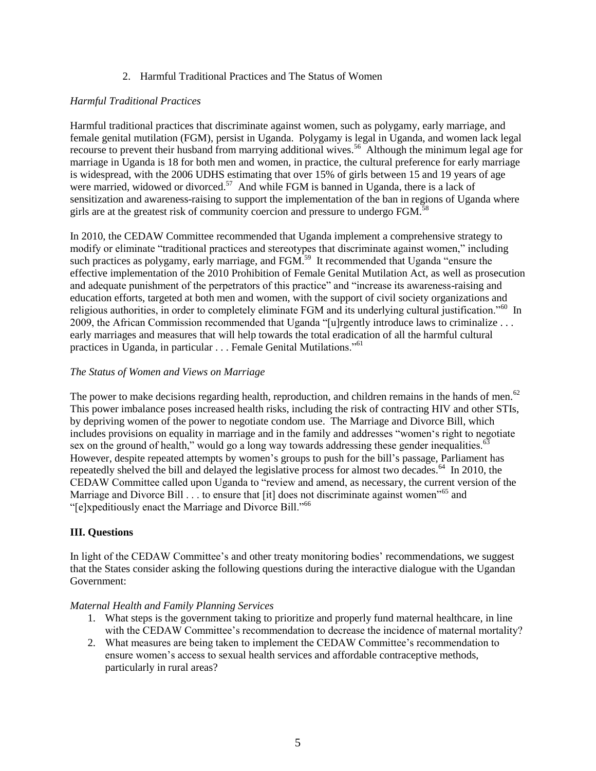### 2. Harmful Traditional Practices and The Status of Women

## *Harmful Traditional Practices*

Harmful traditional practices that discriminate against women, such as polygamy, early marriage, and female genital mutilation (FGM), persist in Uganda. Polygamy is legal in Uganda, and women lack legal recourse to prevent their husband from marrying additional wives.<sup>56</sup> Although the minimum legal age for marriage in Uganda is 18 for both men and women, in practice, the cultural preference for early marriage is widespread, with the 2006 UDHS estimating that over 15% of girls between 15 and 19 years of age were married, widowed or divorced.<sup>57</sup> And while FGM is banned in Uganda, there is a lack of sensitization and awareness-raising to support the implementation of the ban in regions of Uganda where girls are at the greatest risk of community coercion and pressure to undergo FGM.<sup>58</sup>

In 2010, the CEDAW Committee recommended that Uganda implement a comprehensive strategy to modify or eliminate "traditional practices and stereotypes that discriminate against women," including such practices as polygamy, early marriage, and  $FGM<sup>59</sup>$  It recommended that Uganda "ensure the effective implementation of the 2010 Prohibition of Female Genital Mutilation Act, as well as prosecution and adequate punishment of the perpetrators of this practice" and "increase its awareness-raising and education efforts, targeted at both men and women, with the support of civil society organizations and religious authorities, in order to completely eliminate FGM and its underlying cultural justification."<sup>60</sup> In 2009, the African Commission recommended that Uganda "[u]rgently introduce laws to criminalize . . . early marriages and measures that will help towards the total eradication of all the harmful cultural practices in Uganda, in particular . . . Female Genital Mutilations."<sup>61</sup>

# *The Status of Women and Views on Marriage*

The power to make decisions regarding health, reproduction, and children remains in the hands of men.<sup>62</sup> This power imbalance poses increased health risks, including the risk of contracting HIV and other STIs, by depriving women of the power to negotiate condom use. The Marriage and Divorce Bill, which includes provisions on equality in marriage and in the family and addresses "women"s right to negotiate sex on the ground of health," would go a long way towards addressing these gender inequalities. $63$ However, despite repeated attempts by women's groups to push for the bill's passage, Parliament has repeatedly shelved the bill and delayed the legislative process for almost two decades.<sup>64</sup> In 2010, the CEDAW Committee called upon Uganda to "review and amend, as necessary, the current version of the Marriage and Divorce Bill . . . to ensure that [it] does not discriminate against women<sup>165</sup> and "[e]xpeditiously enact the Marriage and Divorce Bill."<sup>66</sup>

# **III. Questions**

In light of the CEDAW Committee's and other treaty monitoring bodies' recommendations, we suggest that the States consider asking the following questions during the interactive dialogue with the Ugandan Government:

### *Maternal Health and Family Planning Services*

- 1. What steps is the government taking to prioritize and properly fund maternal healthcare, in line with the CEDAW Committee's recommendation to decrease the incidence of maternal mortality?
- 2. What measures are being taken to implement the CEDAW Committee"s recommendation to ensure women"s access to sexual health services and affordable contraceptive methods, particularly in rural areas?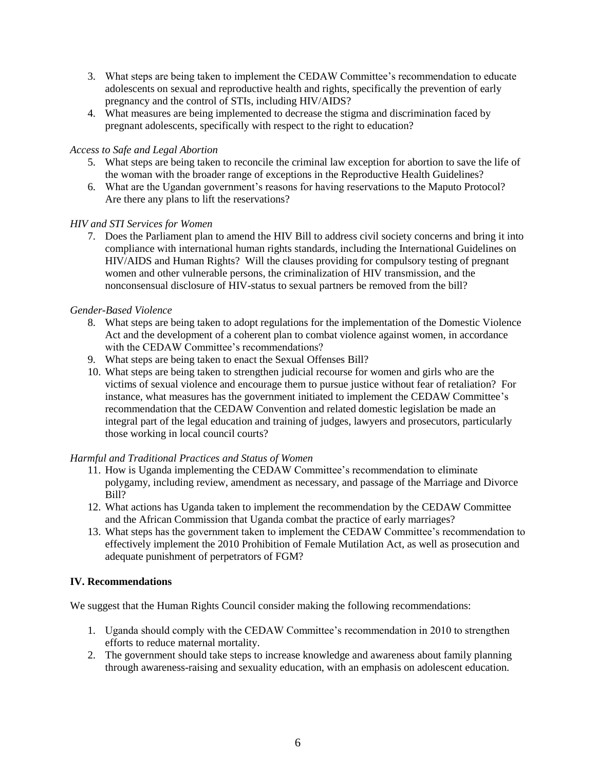- 3. What steps are being taken to implement the CEDAW Committee"s recommendation to educate adolescents on sexual and reproductive health and rights, specifically the prevention of early pregnancy and the control of STIs, including HIV/AIDS?
- 4. What measures are being implemented to decrease the stigma and discrimination faced by pregnant adolescents, specifically with respect to the right to education?

#### *Access to Safe and Legal Abortion*

- 5. What steps are being taken to reconcile the criminal law exception for abortion to save the life of the woman with the broader range of exceptions in the Reproductive Health Guidelines?
- 6. What are the Ugandan government"s reasons for having reservations to the Maputo Protocol? Are there any plans to lift the reservations?

#### *HIV and STI Services for Women*

7. Does the Parliament plan to amend the HIV Bill to address civil society concerns and bring it into compliance with international human rights standards, including the International Guidelines on HIV/AIDS and Human Rights? Will the clauses providing for compulsory testing of pregnant women and other vulnerable persons, the criminalization of HIV transmission, and the nonconsensual disclosure of HIV-status to sexual partners be removed from the bill?

#### *Gender-Based Violence*

- 8. What steps are being taken to adopt regulations for the implementation of the Domestic Violence Act and the development of a coherent plan to combat violence against women, in accordance with the CEDAW Committee's recommendations?
- 9. What steps are being taken to enact the Sexual Offenses Bill?
- 10. What steps are being taken to strengthen judicial recourse for women and girls who are the victims of sexual violence and encourage them to pursue justice without fear of retaliation? For instance, what measures has the government initiated to implement the CEDAW Committee"s recommendation that the CEDAW Convention and related domestic legislation be made an integral part of the legal education and training of judges, lawyers and prosecutors, particularly those working in local council courts?

#### *Harmful and Traditional Practices and Status of Women*

- 11. How is Uganda implementing the CEDAW Committee"s recommendation to eliminate polygamy, including review, amendment as necessary, and passage of the Marriage and Divorce Bill?
- 12. What actions has Uganda taken to implement the recommendation by the CEDAW Committee and the African Commission that Uganda combat the practice of early marriages?
- 13. What steps has the government taken to implement the CEDAW Committee"s recommendation to effectively implement the 2010 Prohibition of Female Mutilation Act, as well as prosecution and adequate punishment of perpetrators of FGM?

### **IV. Recommendations**

We suggest that the Human Rights Council consider making the following recommendations:

- 1. Uganda should comply with the CEDAW Committee"s recommendation in 2010 to strengthen efforts to reduce maternal mortality.
- 2. The government should take steps to increase knowledge and awareness about family planning through awareness-raising and sexuality education, with an emphasis on adolescent education.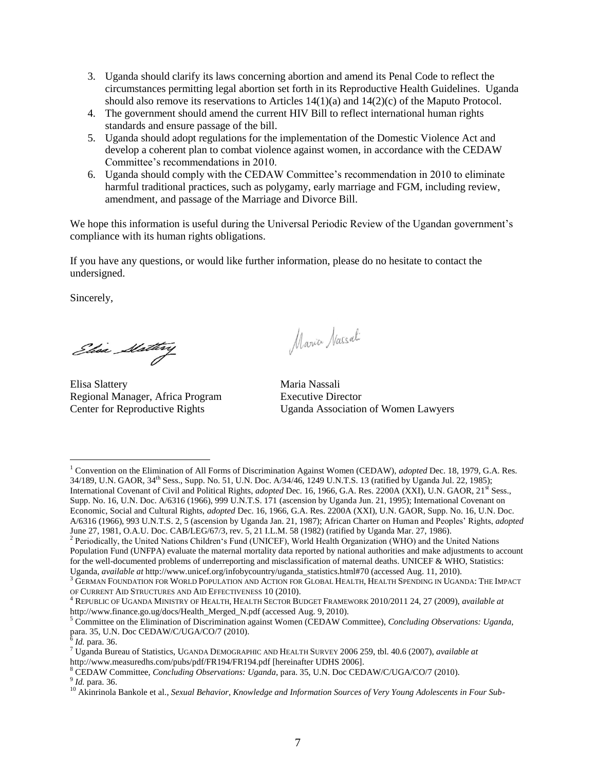- 3. Uganda should clarify its laws concerning abortion and amend its Penal Code to reflect the circumstances permitting legal abortion set forth in its Reproductive Health Guidelines. Uganda should also remove its reservations to Articles  $14(1)(a)$  and  $14(2)(c)$  of the Maputo Protocol.
- 4. The government should amend the current HIV Bill to reflect international human rights standards and ensure passage of the bill.
- 5. Uganda should adopt regulations for the implementation of the Domestic Violence Act and develop a coherent plan to combat violence against women, in accordance with the CEDAW Committee"s recommendations in 2010.
- 6. Uganda should comply with the CEDAW Committee"s recommendation in 2010 to eliminate harmful traditional practices, such as polygamy, early marriage and FGM, including review, amendment, and passage of the Marriage and Divorce Bill.

We hope this information is useful during the Universal Periodic Review of the Ugandan government's compliance with its human rights obligations.

If you have any questions, or would like further information, please do no hesitate to contact the undersigned.

Sincerely,

Elisa Slattery

Elisa Slattery Maria Nassali Regional Manager, Africa Program Executive Director

Maria Nassali

Center for Reproductive Rights Uganda Association of Women Lawyers

9 *Id.* para. 36.

 $\overline{a}$ <sup>1</sup> Convention on the Elimination of All Forms of Discrimination Against Women (CEDAW), *adopted* Dec. 18, 1979, G.A. Res. 34/189, U.N. GAOR, 34th Sess., Supp. No. 51, U.N. Doc. A/34/46, 1249 U.N.T.S. 13 (ratified by Uganda Jul. 22, 1985); International Covenant of Civil and Political Rights, *adopted* Dec. 16, 1966, G.A. Res. 2200A (XXI), U.N. GAOR, 21<sup>st</sup> Sess., Supp. No. 16, U.N. Doc. A/6316 (1966), 999 U.N.T.S. 171 (ascension by Uganda Jun. 21, 1995); International Covenant on Economic, Social and Cultural Rights, *adopted* Dec. 16, 1966, G.A. Res. 2200A (XXI), U.N. GAOR, Supp. No. 16, U.N. Doc. A/6316 (1966), 993 U.N.T.S. 2, 5 (ascension by Uganda Jan. 21, 1987); African Charter on Human and Peoples" Rights, *adopted*  June 27, 1981, O.A.U. Doc. CAB/LEG/67/3, rev. 5, 21 I.L.M. 58 (1982) (ratified by Uganda Mar. 27, 1986).

<sup>&</sup>lt;sup>2</sup> Periodically, the United Nations Children's Fund (UNICEF), World Health Organization (WHO) and the United Nations Population Fund (UNFPA) evaluate the maternal mortality data reported by national authorities and make adjustments to account for the well-documented problems of underreporting and misclassification of maternal deaths. UNICEF & WHO, Statistics: Uganda, *available at* http://www.unicef.org/infobycountry/uganda\_statistics.html#70 (accessed Aug. 11, 2010).

 $^3$  German Foundation for World Population and Action for Global Health, Health Spending in Uganda: The Impact OF CURRENT AID STRUCTURES AND AID EFFECTIVENESS 10 (2010).

<sup>4</sup> REPUBLIC OF UGANDA MINISTRY OF HEALTH, HEALTH SECTOR BUDGET FRAMEWORK 2010/2011 24, 27 (2009), *available at* http://www.finance.go.ug/docs/Health\_Merged\_N.pdf (accessed Aug. 9, 2010).

<sup>5</sup> Committee on the Elimination of Discrimination against Women (CEDAW Committee), *Concluding Observations: Uganda*, para. 35, U.N. Doc CEDAW/C/UGA/CO/7 (2010). 6 *Id.* para. 36.

<sup>7</sup> Uganda Bureau of Statistics, UGANDA DEMOGRAPHIC AND HEALTH SURVEY 2006 259, tbl. 40.6 (2007), *available at* <http://www.measuredhs.com/pubs/pdf/FR194/FR194.pdf> [hereinafter UDHS 2006].

<sup>8</sup> CEDAW Committee, *Concluding Observations: Uganda*, para. 35, U.N. Doc CEDAW/C/UGA/CO/7 (2010).

<sup>10</sup> Akinrinola Bankole et al., *Sexual Behavior, Knowledge and Information Sources of Very Young Adolescents in Four Sub-*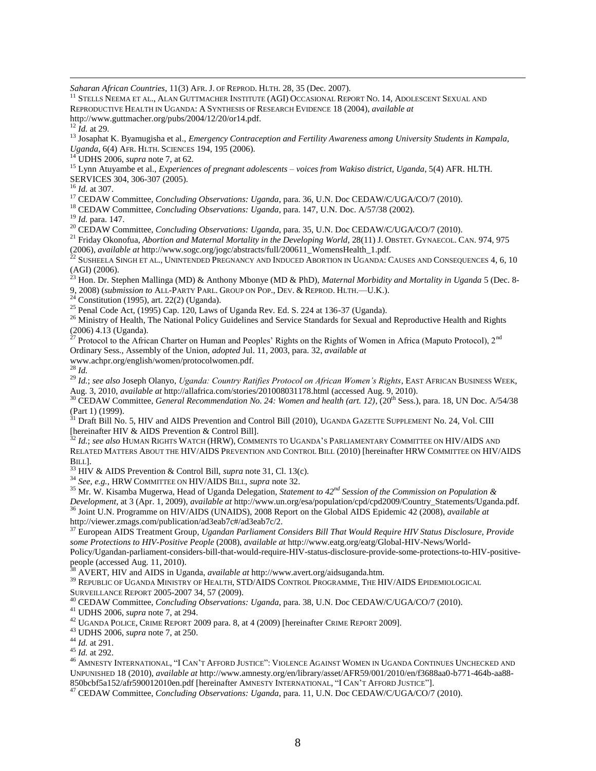*Saharan African Countries*, 11(3) AFR. J. OF REPROD. HLTH. 28, 35 (Dec. 2007).

<sup>11</sup> STELLS NEEMA ET AL., ALAN GUTTMACHER INSTITUTE (AGI) OCCASIONAL REPORT NO. 14, ADOLESCENT SEXUAL AND REPRODUCTIVE HEALTH IN UGANDA: A SYNTHESIS OF RESEARCH EVIDENCE 18 (2004), *available at*  http://www.guttmacher.org/pubs/2004/12/20/or14.pdf.

<sup>12</sup> *Id.* at 29.

 $\overline{a}$ 

<sup>13</sup> Josaphat K. Byamugisha et al., *Emergency Contraception and Fertility Awareness among University Students in Kampala, Uganda*, 6(4) AFR. HLTH. SCIENCES 194, 195 (2006).

<sup>14</sup> UDHS 2006, *supra* note 7, at 62.

<sup>15</sup> Lynn Atuyambe et al., *Experiences of pregnant adolescents – voices from Wakiso district, Uganda*, 5(4) AFR. HLTH. SERVICES 304, 306-307 (2005).

<sup>16</sup> *Id.* at 307.

<sup>17</sup> CEDAW Committee, *Concluding Observations: Uganda*, para. 36, U.N. Doc CEDAW/C/UGA/CO/7 (2010).

<sup>18</sup> CEDAW Committee, *Concluding Observations: Uganda*, para. 147, U.N. Doc. A/57/38 (2002).

<sup>19</sup> *Id.* para. 147.

<sup>20</sup> CEDAW Committee, *Concluding Observations: Uganda*, para. 35, U.N. Doc CEDAW/C/UGA/CO/7 (2010).

<sup>21</sup> Friday Okonofua, *Abortion and Maternal Mortality in the Developing World*, 28(11) J. OBSTET. GYNAECOL. CAN. 974, 975 (2006), *available at* http://www.sogc.org/jogc/abstracts/full/200611\_WomensHealth\_1.pdf.

 $^{22}$  Susheela Singh et al., Unintended Pregnancy and Induced Abortion in Uganda: Causes and Consequences 4, 6, 10  $(AGI)$  (2006).

<sup>23</sup> Hon. Dr. Stephen Mallinga (MD) & Anthony Mbonye (MD & PhD), *Maternal Morbidity and Mortality in Uganda* 5 (Dec. 8-

9, 2008) (*submission to* ALL-PARTY PARL. GROUP ON POP., DEV. & REPROD. HLTH.—U.K.).

 $24$  Constitution (1995), art. 22(2) (Uganda).

 $25$  Penal Code Act, (1995) Cap. 120, Laws of Uganda Rev. Ed. S. 224 at 136-37 (Uganda).

<sup>26</sup> Ministry of Health, The National Policy Guidelines and Service Standards for Sexual and Reproductive Health and Rights (2006) 4.13 (Uganda).

<sup>27</sup> Protocol to the African Charter on Human and Peoples' Rights on the Rights of Women in Africa (Maputo Protocol), 2<sup>nd</sup> Ordinary Sess., Assembly of the Union, *adopted* Jul. 11, 2003, para. 32, *available at*

www.achpr.org/english/women/protocolwomen.pdf.

<sup>28</sup> *Id.*

<sup>29</sup> *Id.*; *see also* Joseph Olanyo, *Uganda: Country Ratifies Protocol on African Women's Rights*, EAST AFRICAN BUSINESS WEEK, Aug. 3, 2010, *available at* http://allafrica.com/stories/201008031178.html (accessed Aug. 9, 2010).

<sup>30</sup> CEDAW Committee, *General Recommendation No. 24: Women and health (art. 12)*, (20th Sess.), para. 18, UN Doc. A/54/38 (Part 1) (1999).

<sup>31</sup> Draft Bill No. 5, HIV and AIDS Prevention and Control Bill (2010), UGANDA GAZETTE SUPPLEMENT No. 24, Vol. CIII [hereinafter HIV & AIDS Prevention & Control Bill].

<sup>32</sup> *Id.*; *see also* HUMAN RIGHTS WATCH (HRW), COMMENTS TO UGANDA"S PARLIAMENTARY COMMITTEE ON HIV/AIDS AND RELATED MATTERS ABOUT THE HIV/AIDS PREVENTION AND CONTROL BILL (2010) [hereinafter HRW COMMITTEE ON HIV/AIDS BILL].

<sup>33</sup> HIV & AIDS Prevention & Control Bill, *supra* note 31, Cl. 13(c).

<sup>34</sup> *See, e.g.,* HRW COMMITTEE ON HIV/AIDS BILL, *supra* note 32.

<sup>35</sup> Mr. W. Kisamba Mugerwa, Head of Uganda Delegation, *Statement to 42nd Session of the Commission on Population & Development*, at 3 (Apr. 1, 2009), *available at* http://www.un.org/esa/population/cpd/cpd2009/Country\_Statements/Uganda.pdf.

<sup>36</sup> Joint U.N. Programme on HIV/AIDS (UNAIDS), 2008 Report on the Global AIDS Epidemic 42 (2008), *available at* http://viewer.zmags.com/publication/ad3eab7c#/ad3eab7c/2.

<sup>37</sup> European AIDS Treatment Group, *Ugandan Parliament Considers Bill That Would Require HIV Status Disclosure, Provide some Protections to HIV-Positive People* (2008), *available at* http://www.eatg.org/eatg/Global-HIV-News/World-

Policy/Ugandan-parliament-considers-bill-that-would-require-HIV-status-disclosure-provide-some-protections-to-HIV-positivepeople (accessed Aug. 11, 2010).

<sup>38</sup> AVERT, HIV and AIDS in Uganda, *available at* http://www.avert.org/aidsuganda.htm.

<sup>39</sup> REPUBLIC OF UGANDA MINISTRY OF HEALTH, STD/AIDS CONTROL PROGRAMME, THE HIV/AIDS EPIDEMIOLOGICAL SURVEILLANCE REPORT 2005-2007 34, 57 (2009).

<sup>40</sup> CEDAW Committee, *Concluding Observations: Uganda*, para. 38, U.N. Doc CEDAW/C/UGA/CO/7 (2010).

<sup>41</sup> UDHS 2006, *supra* note 7, at 294.

 $^{42}$  UGANDA POLICE, CRIME REPORT 2009 para. 8, at 4 (2009) [hereinafter CRIME REPORT 2009].

<sup>43</sup> UDHS 2006, *supra* note 7, at 250.

<sup>44</sup> *Id.* at 291.

<sup>45</sup> *Id.* at 292.

<sup>46</sup> AMNESTY INTERNATIONAL, "I CAN"T AFFORD JUSTICE": VIOLENCE AGAINST WOMEN IN UGANDA CONTINUES UNCHECKED AND UNPUNISHED 18 (2010), *available at* http://www.amnesty.org/en/library/asset/AFR59/001/2010/en/f3688aa0-b771-464b-aa88- 850bcbf5a152/afr590012010en.pdf [hereinafter AMNESTY INTERNATIONAL, "I CAN"T AFFORD JUSTICE"].

<sup>47</sup> CEDAW Committee, *Concluding Observations: Uganda*, para. 11, U.N. Doc CEDAW/C/UGA/CO/7 (2010).